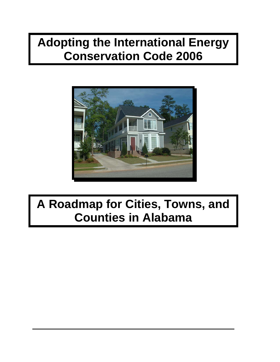## **Adopting the International Energy Conservation Code 2006**



# **A Roadmap for Cities, Towns, and Counties in Alabama**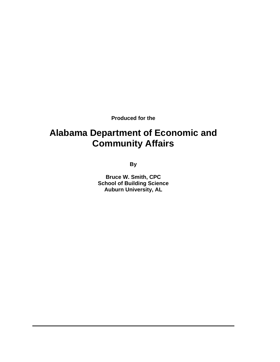**Produced for the**

## **Alabama Department of Economic and Community Affairs**

**By**

**Bruce W. Smith, CPC School of Building Science Auburn University, AL**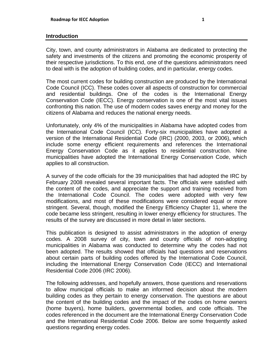#### **Introduction**

City, town, and county administrators in Alabama are dedicated to protecting the safety and investments of the citizens and promoting the economic prosperity of their respective jurisdictions. To this end, one of the questions administrators need to deal with is the adoption of building codes, and in particular, energy codes.

The most current codes for building construction are produced by the International Code Council (ICC). These codes cover all aspects of construction for commercial and residential buildings. One of the codes is the International Energy Conservation Code (IECC). Energy conservation is one of the most vital issues confronting this nation. The use of modern codes saves energy and money for the citizens of Alabama and reduces the national energy needs.

Unfortunately, only 4% of the municipalities in Alabama have adopted codes from the International Code Council (ICC). Forty-six municipalities have adopted a version of the International Residential Code (IRC) (2000, 2003, or 2006), which include some energy efficient requirements and references the International Energy Conservation Code as it applies to residential construction. Nine municipalities have adopted the International Energy Conservation Code, which applies to all construction.

A survey of the code officials for the 39 municipalities that had adopted the IRC by February 2008 revealed several important facts. The officials were satisfied with the content of the codes, and appreciate the support and training received from the International Code Council. The codes were adopted with very few modifications, and most of these modifications were considered equal or more stringent. Several, though, modified the Energy Efficiency Chapter 11, where the code became less stringent, resulting in lower energy efficiency for structures. The results of the survey are discussed in more detail in later sections.

This publication is designed to assist administrators in the adoption of energy codes. A 2008 survey of city, town and county officials of non-adopting municipalities in Alabama was conducted to determine why the codes had not been adopted. The results showed that officials had questions and reservations about certain parts of building codes offered by the International Code Council, including the International Energy Conservation Code (IECC) and International Residential Code 2006 (IRC 2006).

The following addresses, and hopefully answers, those questions and reservations to allow municipal officials to make an informed decision about the modern building codes as they pertain to energy conservation. The questions are about the content of the building codes and the impact of the codes on home owners (home buyers), home builders, governmental bodies, and code officials. The codes referenced in the document are the International Energy Conservation Code and the International Residential Code 2006. Below are some frequently asked questions regarding energy codes.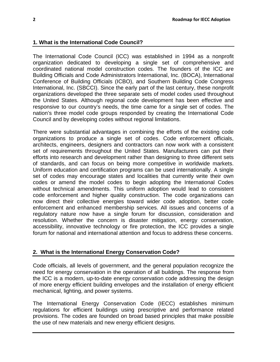The International Code Council (ICC) was established in 1994 as a nonprofit organization dedicated to developing a single set of comprehensive and coordinated national model construction codes. The founders of the ICC are Building Officials and Code Administrators International, Inc. (BOCA), International Conference of Building Officials (ICBO), and Southern Building Code Congress International, Inc. (SBCCI). Since the early part of the last century, these nonprofit organizations developed the three separate sets of model codes used throughout the United States. Although regional code development has been effective and responsive to our country's needs, the time came for a single set of codes. The nation's three model code groups responded by creating the International Code Council and by developing codes without regional limitations.

There were substantial advantages in combining the efforts of the existing code organizations to produce a single set of codes. Code enforcement officials, architects, engineers, designers and contractors can now work with a consistent set of requirements throughout the United States. Manufacturers can put their efforts into research and development rather than designing to three different sets of standards, and can focus on being more competitive in worldwide markets. Uniform education and certification programs can be used internationally. A single set of codes may encourage states and localities that currently write their own codes or amend the model codes to begin adopting the International Codes without technical amendments. This uniform adoption would lead to consistent code enforcement and higher quality construction. The code organizations can now direct their collective energies toward wider code adoption, better code enforcement and enhanced membership services. All issues and concerns of a regulatory nature now have a single forum for discussion, consideration and resolution. Whether the concern is disaster mitigation, energy conservation, accessibility, innovative technology or fire protection, the ICC provides a single forum for national and international attention and focus to address these concerns.

## **2. What is the International Energy Conservation Code?**

Code officials, all levels of government, and the general population recognize the need for energy conservation in the operation of all buildings. The response from the ICC is a modern, up-to-date energy conservation code addressing the design of more energy efficient building envelopes and the installation of energy efficient mechanical, lighting, and power systems.

The International Energy Conservation Code (IECC) establishes minimum regulations for efficient buildings using prescriptive and performance related provisions. The codes are founded on broad based principles that make possible the use of new materials and new energy efficient designs.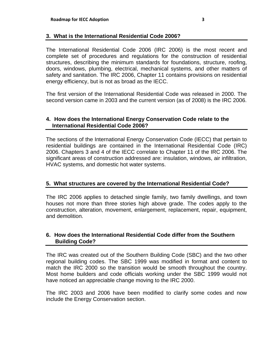## **3. What is the International Residential Code 2006?**

The International Residential Code 2006 (IRC 2006) is the most recent and complete set of procedures and regulations for the construction of residential structures, describing the minimum standards for foundations, structure, roofing, doors, windows, plumbing, electrical, mechanical systems, and other matters of safety and sanitation. The IRC 2006, Chapter 11 contains provisions on residential energy efficiency, but is not as broad as the IECC.

The first version of the International Residential Code was released in 2000. The second version came in 2003 and the current version (as of 2008) is the IRC 2006.

## **4. How does the International Energy Conservation Code relate to the International Residential Code 2006?**

The sections of the International Energy Conservation Code (IECC) that pertain to residential buildings are contained in the International Residential Code (IRC) 2006. Chapters 3 and 4 of the IECC correlate to Chapter 11 of the IRC 2006. The significant areas of construction addressed are: insulation, windows, air infiltration, HVAC systems, and domestic hot water systems.

## **5. What structures are covered by the International Residential Code?**

The IRC 2006 applies to detached single family, two family dwellings, and town houses not more than three stories high above grade. The codes apply to the construction, alteration, movement, enlargement, replacement, repair, equipment, and demolition.

## **6. How does the International Residential Code differ from the Southern Building Code?**

The IRC was created out of the Southern Building Code (SBC) and the two other regional building codes. The SBC 1999 was modified in format and content to match the IRC 2000 so the transition would be smooth throughout the country. Most home builders and code officials working under the SBC 1999 would not have noticed an appreciable change moving to the IRC 2000.

The IRC 2003 and 2006 have been modified to clarify some codes and now include the Energy Conservation section.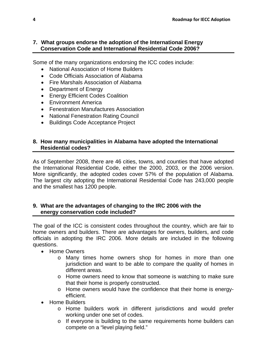## **7. What groups endorse the adoption of the International Energy Conservation Code and International Residential Code 2006?**

Some of the many organizations endorsing the ICC codes include:

- National Association of Home Builders
- Code Officials Association of Alabama
- Fire Marshals Association of Alabama
- Department of Energy
- Energy Efficient Codes Coalition
- Environment America
- Fenestration Manufactures Association
- National Fenestration Rating Council
- Buildings Code Acceptance Project

## **8. How many municipalities in Alabama have adopted the International Residential codes?**

As of September 2008, there are 46 cities, towns, and counties that have adopted the International Residential Code, either the 2000, 2003, or the 2006 version. More significantly, the adopted codes cover 57% of the population of Alabama. The largest city adopting the International Residential Code has 243,000 people and the smallest has 1200 people.

## **9. What are the advantages of changing to the IRC 2006 with the energy conservation code included?**

The goal of the ICC is consistent codes throughout the country, which are fair to home owners and builders. There are advantages for owners, builders, and code officials in adopting the IRC 2006. More details are included in the following questions.

- Home Owners
	- o Many times home owners shop for homes in more than one jurisdiction and want to be able to compare the quality of homes in different areas.
	- o Home owners need to know that someone is watching to make sure that their home is properly constructed.
	- o Home owners would have the confidence that their home is energyefficient.
- Home Builders
	- o Home builders work in different jurisdictions and would prefer working under one set of codes.
	- o If everyone is building to the same requirements home builders can compete on a "level playing field."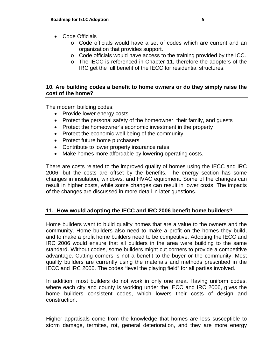- Code Officials
	- o Code officials would have a set of codes which are current and an organization that provides support.
	- o Code officials would have access to the training provided by the ICC.
	- o The IECC is referenced in Chapter 11, therefore the adopters of the IRC get the full benefit of the IECC for residential structures.

## **10. Are building codes a benefit to home owners or do they simply raise the cost of the home?**

The modern building codes:

- Provide lower energy costs
- Protect the personal safety of the homeowner, their family, and guests
- Protect the homeowner's economic investment in the property
- Protect the economic well being of the community
- Protect future home purchasers
- Contribute to lower property insurance rates
- Make homes more affordable by lowering operating costs.

There are costs related to the improved quality of homes using the IECC and IRC 2006, but the costs are offset by the benefits. The energy section has some changes in insulation, windows, and HVAC equipment. Some of the changes can result in higher costs, while some changes can result in lower costs. The impacts of the changes are discussed in more detail in later questions.

## **11. How would adopting the IECC and IRC 2006 benefit home builders?**

Home builders want to build quality homes that are a value to the owners and the community. Home builders also need to make a profit on the homes they build, and to make a profit home builders need to be competitive. Adopting the IECC and IRC 2006 would ensure that all builders in the area were building to the same standard. Without codes, some builders might cut corners to provide a competitive advantage. Cutting corners is not a benefit to the buyer or the community. Most quality builders are currently using the materials and methods prescribed in the IECC and IRC 2006. The codes "level the playing field" for all parties involved.

In addition, most builders do not work in only one area. Having uniform codes, where each city and county is working under the IECC and IRC 2006, gives the home builders consistent codes, which lowers their costs of design and construction.

Higher appraisals come from the knowledge that homes are less susceptible to storm damage, termites, rot, general deterioration, and they are more energy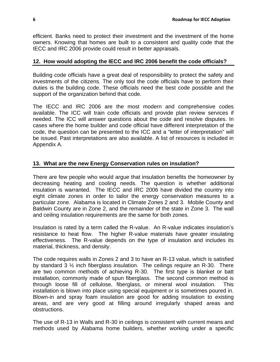efficient. Banks need to protect their investment and the investment of the home owners. Knowing that homes are built to a consistent and quality code that the IECC and IRC 2006 provide could result in better appraisals.

## **12. How would adopting the IECC and IRC 2006 benefit the code officials?**

Building code officials have a great deal of responsibility to protect the safety and investments of the citizens. The only tool the code officials have to perform their duties is the building code. These officials need the best code possible and the support of the organization behind that code.

The IECC and IRC 2006 are the most modern and comprehensive codes available. The ICC will train code officials and provide plan review services if needed. The ICC will answer questions about the code and resolve disputes. In cases where the home builder and code official have different interpretation of the code, the question can be presented to the ICC and a "letter of interpretation" will be issued. Past interpretations are also available. A list of resources is included in Appendix A.

## **13. What are the new Energy Conservation rules on insulation?**

There are few people who would argue that insulation benefits the homeowner by decreasing heating and cooling needs. The question is whether additional insulation is warranted. The IECC and IRC 2006 have divided the country into eight climate zones in order to tailor the energy conservation measures to a particular zone. Alabama is located in Climate Zones 2 and 3. Mobile County and Baldwin County are in Zone 2, and the remainder of the state in Zone 3. The wall and ceiling insulation requirements are the same for both zones.

Insulation is rated by a term called the R-value. An R-value indicates insulation's resistance to heat flow. The higher R-value materials have greater insulating effectiveness. The R-value depends on the type of insulation and includes its material, thickness, and density.

The code requires walls in Zones 2 and 3 to have an R-13 value, which is satisfied by standard 3 ½ inch fiberglass insulation. The ceilings require an R-30. There are two common methods of achieving R-30. The first type is blanket or batt installation, commonly made of spun fiberglass. The second common method is through loose fill of cellulose, fiberglass, or mineral wool insulation. This installation is blown into place using special equipment or is sometimes poured in. Blown-in and spray foam insulation are good for adding insulation to existing areas, and are very good at filling around irregularly shaped areas and obstructions.

The use of R-13 in Walls and R-30 in ceilings is consistent with current means and methods used by Alabama home builders, whether working under a specific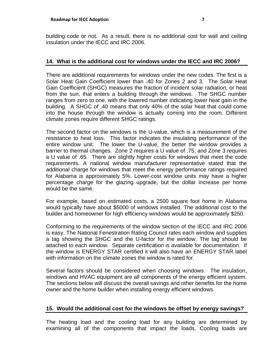building code or not. As a result, there is no additional cost for wall and ceiling insulation under the IECC and IRC 2006.

## **14. What is the additional cost for windows under the IECC and IRC 2006?**

There are additional requirements for windows under the new codes. The first is a Solar Heat Gain Coefficient lower than .40 for Zones 2 and 3. The Solar Heat Gain Coefficient (SHGC) measures the fraction of incident solar radiation, or heat from the sun, that enters a building through the windows. The SHGC number ranges from zero to one, with the lowered number indicating lower heat gain in the building. A SHGC of .40 means that only 40% of the solar heat that could come into the house through the window is actually coming into the room. Different climate zones require different SHGC ratings.

The second factor on the windows is the U-value, which is a measurement of the resistance to heat loss. This factor indicates the insulating performance of the entire window unit. The lower the U-value, the better the window provides a barrier to thermal changes. Zone 2 requires a U value of .75, and Zone 3 requires a U value of .65. There are slightly higher costs for windows that meet the code requirements. A national window manufacturer representative stated that the additional charge for windows that meet the energy performance ratings required for Alabama is approximately 5%. Lower-cost window units may have a higher percentage charge for the glazing upgrade, but the dollar increase per home would be the same.

For example, based on estimated costs, a 2500 square foot home in Alabama would typically have about \$5000 of windows installed. The additional cost to the builder and homeowner for high efficiency windows would be approximately \$250.

Conforming to the requirements of the window section of the IECC and IRC 2006 is easy. The National Fenestration Rating Council rates each window and supplies a tag showing the SHGC and the U-factor for the window. The tag should be attached to each window. Separate certification is available for documentation. If the window is ENERGY STAR certified it will also have an ENERGY STAR label with information on the climate zones the window is rated for.

Several factors should be considered when choosing windows. The insulation, windows and HVAC equipment are all components of the energy efficient system. The sections below will discuss the overall savings and other benefits for the home owner and the home builder when installing energy efficient windows.

## **15. Would the additional cost for the windows be offset by energy savings?**

The heating load and the cooling load for any building are determined by examining all of the components that impact the loads. Cooling loads are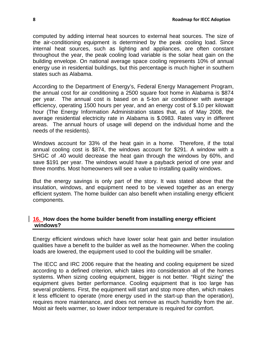computed by adding internal heat sources to external heat sources. The size of the air-conditioning equipment is determined by the peak cooling load. Since internal heat sources, such as lighting and appliances, are often constant throughout the year, the peak cooling load variable is the solar heat gain on the building envelope. On national average space cooling represents 10% of annual energy use in residential buildings, but this percentage is much higher in southern states such as Alabama.

According to the Department of Energy's, Federal Energy Management Program, the annual cost for air conditioning a 2500 square foot home in Alabama is \$874 per year. The annual cost is based on a 5-ton air conditioner with average efficiency, operating 1500 hours per year, and an energy cost of \$.10 per kilowatt hour (The Energy Information Administration states that, as of May 2008, the average residential electricity rate in Alabama is \$.0983. Rates vary in different areas. The annual hours of usage will depend on the individual home and the needs of the residents).

Windows account for 33% of the heat gain in a home. Therefore, if the total annual cooling cost is \$874, the windows account for \$291. A window with a SHGC of .40 would decrease the heat gain through the windows by 60%, and save \$191 per year. The windows would have a payback period of one year and three months. Most homeowners will see a value to installing quality windows.

But the energy savings is only part of the story. It was stated above that the insulation, windows, and equipment need to be viewed together as an energy efficient system. The home builder can also benefit when installing energy efficient components.

## **16. How does the home builder benefit from installing energy efficient windows?**

Energy efficient windows which have lower solar heat gain and better insulation qualities have a benefit to the builder as well as the homeowner. When the cooling loads are lowered, the equipment used to cool the building will be smaller.

The IECC and IRC 2006 require that the heating and cooling equipment be sized according to a defined criterion, which takes into consideration all of the homes systems. When sizing cooling equipment, bigger is not better. "Right sizing" the equipment gives better performance. Cooling equipment that is too large has several problems. First, the equipment will start and stop more often, which makes it less efficient to operate (more energy used in the start-up than the operation), requires more maintenance, and does not remove as much humidity from the air. Moist air feels warmer, so lower indoor temperature is required for comfort.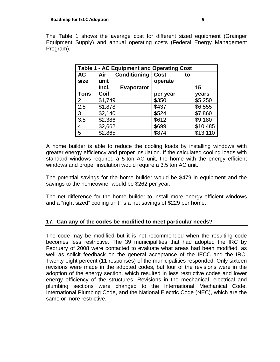The Table 1 shows the average cost for different sized equipment (Grainger Equipment Supply) and annual operating costs (Federal Energy Management Program).

| <b>Table 1 - AC Equipment and Operating Cost</b> |                            |                   |          |
|--------------------------------------------------|----------------------------|-------------------|----------|
| <b>AC</b>                                        | <b>Conditioning</b><br>Air | <b>Cost</b><br>to |          |
| size                                             | unit                       | operate           |          |
|                                                  | Incl.<br>Evaporator        |                   | 15       |
| <b>Tons</b>                                      | Coil                       | per year          | years    |
| $\overline{2}$                                   | \$1,749                    | \$350             | \$5,250  |
| 2.5                                              | \$1,878                    | \$437             | \$6,555  |
| 3                                                | \$2,140                    | \$524             | \$7,860  |
| 3.5                                              | \$2,386                    | \$612             | \$9,180  |
| 4                                                | \$2,662                    | \$699             | \$10,485 |
| 5                                                | \$2,865                    | \$874             | \$13,110 |

A home builder is able to reduce the cooling loads by installing windows with greater energy efficiency and proper insulation. If the calculated cooling loads with standard windows required a 5-ton AC unit, the home with the energy efficient windows and proper insulation would require a 3.5 ton AC unit.

The potential savings for the home builder would be \$479 in equipment and the savings to the homeowner would be \$262 per year.

The net difference for the home builder to install more energy efficient windows and a "right sized" cooling unit, is a net savings of \$229 per home.

## **17. Can any of the codes be modified to meet particular needs?**

The code may be modified but it is not recommended when the resulting code becomes less restrictive. The 39 municipalities that had adopted the IRC by February of 2008 were contacted to evaluate what areas had been modified, as well as solicit feedback on the general acceptance of the IECC and the IRC. Twenty-eight percent (11 responses) of the municipalities responded. Only sixteen revisions were made in the adopted codes, but four of the revisions were in the adoption of the energy section, which resulted in less restrictive codes and lower energy efficiency of the structures. Revisions in the mechanical, electrical and plumbing sections were changed to the International Mechanical Code, International Plumbing Code, and the National Electric Code (NEC), which are the same or more restrictive.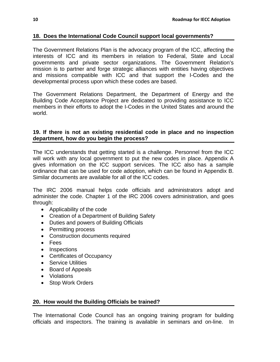## **18. Does the International Code Council support local governments?**

The Government Relations Plan is the advocacy program of the ICC, affecting the interests of ICC and its members in relation to Federal, State and Local governments and private sector organizations. The Government Relation's mission is to partner and forge strategic alliances with entities having objectives and missions compatible with ICC and that support the I-Codes and the developmental process upon which these codes are based.

The Government Relations Department, the Department of Energy and the Building Code Acceptance Project are dedicated to providing assistance to ICC members in their efforts to adopt the I-Codes in the United States and around the world.

## **19. If there is not an existing residential code in place and no inspection department, how do you begin the process?**

The ICC understands that getting started is a challenge. Personnel from the ICC will work with any local government to put the new codes in place. Appendix A gives information on the ICC support services. The ICC also has a sample ordinance that can be used for code adoption, which can be found in Appendix B. Similar documents are available for all of the ICC codes.

The IRC 2006 manual helps code officials and administrators adopt and administer the code. Chapter 1 of the IRC 2006 covers administration, and goes through:

- Applicability of the code
- Creation of a Department of Building Safety
- Duties and powers of Building Officials
- Permitting process
- Construction documents required
- Fees
- Inspections
- Certificates of Occupancy
- Service Utilities
- Board of Appeals
- Violations
- Stop Work Orders

## **20. How would the Building Officials be trained?**

The International Code Council has an ongoing training program for building officials and inspectors. The training is available in seminars and on-line. In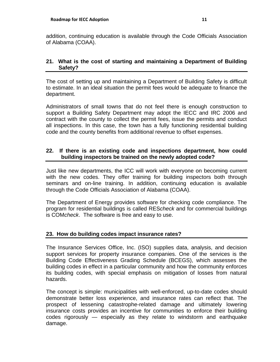addition, continuing education is available through the Code Officials Association of Alabama (COAA).

## **21. What is the cost of starting and maintaining a Department of Building Safety?**

The cost of setting up and maintaining a Department of Building Safety is difficult to estimate. In an ideal situation the permit fees would be adequate to finance the department.

Administrators of small towns that do not feel there is enough construction to support a Building Safety Department may adopt the IECC and IRC 2006 and contract with the county to collect the permit fees, issue the permits and conduct all inspections. In this case, the town has a fully functioning residential building code and the county benefits from additional revenue to offset expenses.

## **22. If there is an existing code and inspections department, how could building inspectors be trained on the newly adopted code?**

Just like new departments, the ICC will work with everyone on becoming current with the new codes. They offer training for building inspectors both through seminars and on-line training. In addition, continuing education is available through the Code Officials Association of Alabama (COAA).

The Department of Energy provides software for checking code compliance. The program for residential buildings is called RES*check* and for commercial buildings is COM*check*. The software is free and easy to use.

## **23. How do building codes impact insurance rates?**

The Insurance Services Office, Inc. (ISO) supplies data, analysis, and decision support services for property insurance companies. One of the services is the Building Code Effectiveness Grading Schedule (BCEGS), which assesses the building codes in effect in a particular community and how the community enforces its building codes, with special emphasis on mitigation of losses from natural hazards.

The concept is simple: municipalities with well-enforced, up-to-date codes should demonstrate better loss experience, and insurance rates can reflect that. The prospect of lessening catastrophe-related damage and ultimately lowering insurance costs provides an incentive for communities to enforce their building codes rigorously — especially as they relate to windstorm and earthquake damage.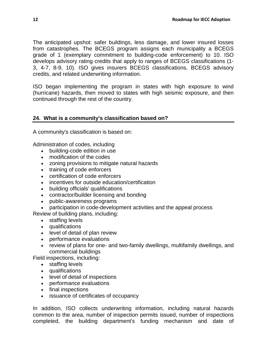The anticipated upshot: safer buildings, less damage, and lower insured losses from catastrophes. The BCEGS program assigns each municipality a BCEGS grade of 1 (exemplary commitment to building-code enforcement) to 10. ISO develops advisory rating credits that apply to ranges of BCEGS classifications (1- 3, 4-7, 8-9, 10). ISO gives insurers BCEGS classifications, BCEGS advisory credits, and related underwriting information.

ISO began implementing the program in states with high exposure to wind (hurricane) hazards, then moved to states with high seismic exposure, and then continued through the rest of the country.

## **24. What is a community's classification based on?**

A community's classification is based on:

Administration of codes, including

- building-code edition in use
- modification of the codes
- zoning provisions to mitigate natural hazards
- training of code enforcers
- certification of code enforcers
- incentives for outside education/certification
- building officials' qualifications
- contractor/builder licensing and bonding
- public-awareness programs
- participation in code-development activities and the appeal process

Review of building plans, including:

- staffing levels
- qualifications
- level of detail of plan review
- performance evaluations
- review of plans for one- and two-family dwellings, multifamily dwellings, and commercial buildings

Field inspections, including:

- staffing levels
- qualifications
- level of detail of inspections
- performance evaluations
- final inspections
- issuance of certificates of occupancy

In addition, ISO collects underwriting information, including natural hazards common to the area, number of inspection permits issued, number of inspections completed, the building department's funding mechanism and date of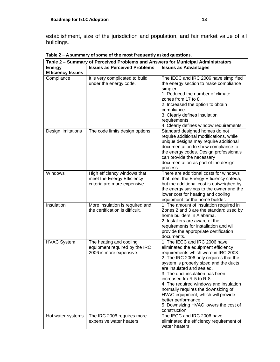establishment, size of the jurisdiction and population, and fair market value of all buildings.

| Table 2 - Summary of Perceived Problems and Answers for Municipal Administrators |                                                                                            |                                                                                                                                                                                                                                                                                                                                                                                                                                                                                                      |  |  |
|----------------------------------------------------------------------------------|--------------------------------------------------------------------------------------------|------------------------------------------------------------------------------------------------------------------------------------------------------------------------------------------------------------------------------------------------------------------------------------------------------------------------------------------------------------------------------------------------------------------------------------------------------------------------------------------------------|--|--|
| <b>Energy</b>                                                                    | <b>Issues as Perceived Problems</b>                                                        | <b>Issues as Advantages</b>                                                                                                                                                                                                                                                                                                                                                                                                                                                                          |  |  |
| <b>Efficiency Issues</b>                                                         |                                                                                            |                                                                                                                                                                                                                                                                                                                                                                                                                                                                                                      |  |  |
| Compliance                                                                       | It is very complicated to build<br>under the energy code.                                  | The IECC and IRC 2006 have simplified<br>the energy section to make compliance<br>simpler.<br>1. Reduced the number of climate<br>zones from 17 to 8.<br>2. Increased the option to obtain<br>compliance.<br>3. Clearly defines insulation<br>requirements.<br>4. Clearly defines window requirements.                                                                                                                                                                                               |  |  |
| Design limitations                                                               | The code limits design options.                                                            | Standard designed homes do not<br>require additional modifications, while<br>unique designs may require additional<br>documentation to show compliance to<br>the energy codes. Design professionals<br>can provide the necessary<br>documentation as part of the design<br>process.                                                                                                                                                                                                                  |  |  |
| Windows                                                                          | High efficiency windows that<br>meet the Energy Efficiency<br>criteria are more expensive. | There are additional costs for windows<br>that meet the Energy Efficiency criteria,<br>but the additional cost is outweighed by<br>the energy savings to the owner and the<br>lower cost for heating and cooling<br>equipment for the home builder.                                                                                                                                                                                                                                                  |  |  |
| Insulation                                                                       | More insulation is required and<br>the certification is difficult.                         | 1. The amount of insulation required in<br>Zones 2 and 3 are the standard used by<br>home builders in Alabama.<br>2. Installers are aware of the<br>requirements for installation and will<br>provide the appropriate certification<br>documents.                                                                                                                                                                                                                                                    |  |  |
| <b>HVAC System</b>                                                               | The heating and cooling<br>equipment required by the IRC<br>2006 is more expensive.        | 1. The IECC and IRC 2006 have<br>eliminated the equipment efficiency<br>requirements which were in IRC 2003.<br>2. The IRC 2006 only requires that the<br>system is properly sized and the ducts<br>are insulated and sealed.<br>3. The duct insulation has been<br>increased fro R-5 to R-8.<br>4. The required windows and insulation<br>normally requires the downsizing of<br>HVAC equipment, which will provide<br>better performance.<br>5. Downsizing HVAC lowers the cost of<br>construction |  |  |
| Hot water systems                                                                | The IRC 2006 requires more<br>expensive water heaters.                                     | The IECC and IRC 2006 have<br>eliminated the efficiency requirement of<br>water heaters.                                                                                                                                                                                                                                                                                                                                                                                                             |  |  |

**Table 2 – A summary of some of the most frequently asked questions.**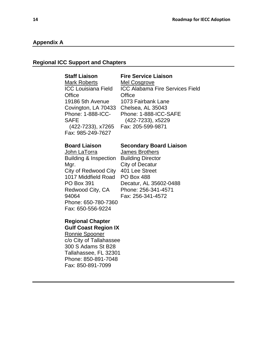#### **Appendix A**

#### **Regional ICC Support and Chapters**

#### **Staff Liaison**

## **Fire Service Liaison**

[Mark Roberts](mailto:MRoberts@iccsafe.org) ICC Louisiana Field **Office** 19186 5th Avenue Covington, LA 70433 Chelsea, AL 35043 Phone: 1-888-ICC-SAFE (422-7233), x7265 Fax: 985-249-7627

[Mel Cosgrove](mailto:mcosgrove@iccsafe.org) ICC Alabama Fire Services Field **Office** 1073 Fairbank Lane Phone: 1-888-ICC-SAFE (422-7233), x5229 Fax: 205-599-9871

#### **Board Liaison**

### [John LaTorra](mailto:JLaTorra@iccsafe.org) Building & Inspection Building Director Mgr. City of Redwood City 401 Lee Street 1017 Middfield Road PO Box 391 Redwood City, CA 94064 Phone: 650-780-7360 Fax: 650-556-9224

## **Secondary Board Liaison**

[James Brothers](mailto:jbrothers@iccsafe.org) City of Decatur PO Box 488 Decatur, AL 35602-0488 Phone: 256-341-4571 Fax: 256-341-4572

#### **Regional Chapter Gulf Coast Region IX**

## [Ronnie Spooner](mailto:ronnie.spooner@talgov.com)

c/o City of Tallahassee 300 S Adams St B28 Tallahassee, FL 32301 Phone: 850-891-7048 Fax: 850-891-7099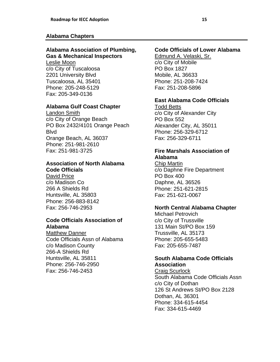#### **Alabama Chapters**

#### **Alabama Association of Plumbing, Gas & Mechanical Inspectors**

[Leslie Moon](mailto:lmoon@tuscaloosa.com) c/o City of Tuscaloosa 2201 University Blvd Tuscaloosa, AL 35401 Phone: 205-248-5129 Fax: 205-349-0136

#### **Alabama Gulf Coast Chapter**

[Landon Smith](mailto:lsmith@cityoforangebeach.com) c/o City of Orange Beach PO Box 2432/4101 Orange Peach Blvd Orange Beach, AL 36037 Phone: 251-981-2610 Fax: 251-981-3725

## **Association of North Alabama Code Officials**

[David Price](mailto:pricedep@aol.com) c/o Madison Co 266 A Shields Rd Huntsville, AL 35803 Phone: 256-883-8142 Fax: 256-746-2953

#### **Code Officials Association of Alabama**

[Matthew Danner](mailto:mdanner@co.madison.al.us) Code Officials Assn of Alabama c/o Madison County 266-A Shields Rd Huntsville, AL 35811 Phone: 256-746-2950 Fax: 256-746-2453

## **Code Officials of Lower Alabama**

[Edmund A. Velaski, Sr.](mailto:eddy@cityofmobile.org) c/o City of Mobile PO Box 1827 Mobile, AL 36633 Phone: 251-208-7424 Fax: 251-208-5896

#### **East Alabama Code Officials**

[Todd Betts](mailto:acbldgdept@charterinternet.com) c/o City of Alexander City PO Box 552 Alexander City, AL 35011 Phone: 256-329-6712 Fax: 256-329-6711

#### **Fire Marshals Association of Alabama**

[Chip Martin](mailto:chipmartin@bellsouth.net) c/o Daphne Fire Department PO Box 400 Daphne, AL 36526 Phone: 251-621-2815 Fax: 251-621-0067

#### **North Central Alabama Chapter**

Michael Petrovich c/o City of Trussville 131 Main St/PO Box 159 Trussville, AL 35173 Phone: 205-655-5483 Fax: 205-655-7487

#### **South Alabama Code Officials Association**

[Craig Scurlock](mailto:dcscurlock@dothan.org) South Alabama Code Officials Assn c/o City of Dothan 126 St Andrews St/PO Box 2128 Dothan, AL 36301 Phone: 334-615-4454 Fax: 334-615-4469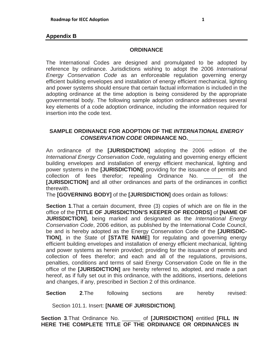### **Appendix B**

## **ORDINANCE**

The International Codes are designed and promulgated to be adopted by reference by ordinance. Jurisdictions wishing to adopt the 2006 *International Energy Conservation Code* as an enforceable regulation governing energy efficient building envelopes and installation of energy efficient mechanical, lighting and power systems should ensure that certain factual information is included in the adopting ordinance at the time adoption is being considered by the appropriate governmental body. The following sample adoption ordinance addresses several key elements of a code adoption ordinance, including the information required for insertion into the code text.

## **SAMPLE ORDINANCE FOR ADOPTION OF THE** *INTERNATIONAL ENERGY CONSERVATION CODE* **ORDINANCE NO.\_\_\_\_\_\_\_\_**

An ordinance of the **[JURISDICTION]** adopting the 2006 edition of the *International Energy Conservation Code*, regulating and governing energy efficient building envelopes and installation of energy efficient mechanical, lighting and power systems in the **[JURISDICTION]**; providing for the issuance of permits and collection of fees therefor; repealing Ordinance No. \_\_\_\_\_\_ of the **[JURISDICTION]** and all other ordinances and parts of the ordinances in conflict therewith.

The **[GOVERNING BODY]** of the **[JURISDICTION]** does ordain as follows:

**Section 1**.That a certain document, three (3) copies of which are on file in the office of the **[TITLE OF JURISDICTION'S KEEPER OF RECORDS]** of **[NAME OF JURISDICTION]**, being marked and designated as the *International Energy Conservation Code*, 2006 edition, as published by the International Code Council, be and is hereby adopted as the Energy Conservation Code of the **[JURISDIC-TION]**, in the State of **[STATE NAME]** for regulating and governing energy efficient building envelopes and installation of energy efficient mechanical, lighting and power systems as herein provided; providing for the issuance of permits and collection of fees therefor; and each and all of the regulations, provisions, penalties, conditions and terms of said Energy Conservation Code on file in the office of the **[JURISDICTION]** are hereby referred to, adopted, and made a part hereof, as if fully set out in this ordinance, with the additions, insertions, deletions and changes, if any, prescribed in Section 2 of this ordinance.

**Section 2**.The following sections are hereby revised:

Section 101.1. Insert: **[NAME OF JURISDICTION]**.

**Section 3**.That Ordinance No. \_\_\_\_\_\_ of **[JURISDICTION]** entitled **[FILL IN HERE THE COMPLETE TITLE OF THE ORDINANCE OR ORDINANCES IN**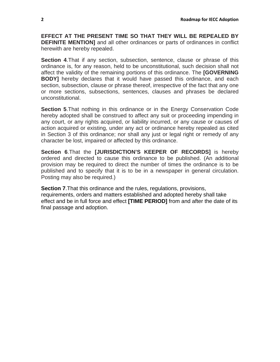**EFFECT AT THE PRESENT TIME SO THAT THEY WILL BE REPEALED BY DEFINITE MENTION]** and all other ordinances or parts of ordinances in conflict herewith are hereby repealed.

**Section 4.** That if any section, subsection, sentence, clause or phrase of this ordinance is, for any reason, held to be unconstitutional, such decision shall not affect the validity of the remaining portions of this ordinance. The **[GOVERNING BODY]** hereby declares that it would have passed this ordinance, and each section, subsection, clause or phrase thereof, irrespective of the fact that any one or more sections, subsections, sentences, clauses and phrases be declared unconstitutional.

**Section 5**.That nothing in this ordinance or in the Energy Conservation Code hereby adopted shall be construed to affect any suit or proceeding impending in any court, or any rights acquired, or liability incurred, or any cause or causes of action acquired or existing, under any act or ordinance hereby repealed as cited in Section 3 of this ordinance; nor shall any just or legal right or remedy of any character be lost, impaired or affected by this ordinance.

**Section 6**.That the **[JURISDICTION'S KEEPER OF RECORDS]** is hereby ordered and directed to cause this ordinance to be published. (An additional provision may be required to direct the number of times the ordinance is to be published and to specify that it is to be in a newspaper in general circulation. Posting may also be required.)

**Section 7**.That this ordinance and the rules, regulations, provisions, requirements, orders and matters established and adopted hereby shall take effect and be in full force and effect **[TIME PERIOD]** from and after the date of its final passage and adoption.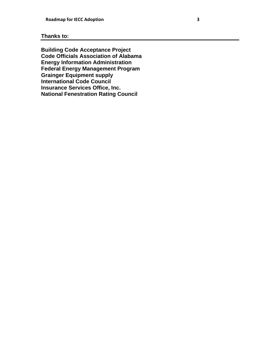## **Thanks to:**

**Building Code Acceptance Project Code Officials Association of Alabama Energy Information Administration Federal Energy Management Program Grainger Equipment supply International Code Council Insurance Services Office, Inc. National Fenestration Rating Council**